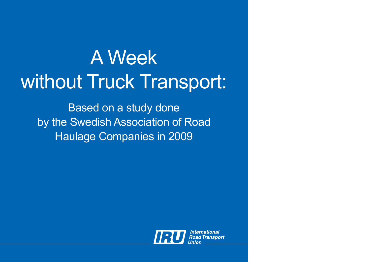## A Week without Truck Transport:

Based on a study done by the Swedish Association of Road Haulage Companies in 2009

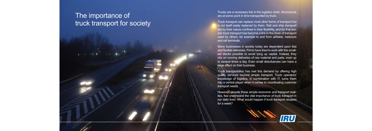## The importance of truck transport for society

Trucks are a necessary link in the logistics chain. All products are at some point in time transported by truck.

Truck transport can replace most other forms of transport but is not itself easily replaced by them. Rail and ship transport are by their nature confined in their flexibility, and for that rea son truck transport has become a link in the chain of transport used by others, for example to and from airfields, harbours and rail terminals.

Many businesses in society today are dependent upon fast and flexible deliveries. Firms have tried to work with the small est stocks possible to avoid tying up capital. Instead, they rely on running deliveries of raw material and parts, even up to several times a day. Even small disturbances can have a large effect on their business.

Truck transportation has met this demand by offering high quality services beyond simple transport. Truck operators' knowledge of logistics, in combination with IT, turns them into a central player when it comes to coordinating customer transport needs.

However, despite these simple economic and transport reali ties, few understand the vital importance of truck transport in our daily lives. What would happen if truck transport stopped for a week?

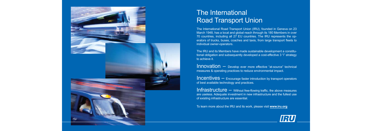The IRU and its Members have made sustainable development a constitutional obligation and subsequently developed a cost-effective 3 "i" strategy to achieve it.

Innovation – Develop ever more effective "at-source" technical measures & operating practices to reduce environmental impact.

**Incentives** – Encourage faster introduction by transport operators of best available technology and practices.

 $\frac{1}{1}$  Infrastructure  $\overline{-}$  Without free-flowing traffic, the above measures are useless. Adequate investment in new infrastructure and the fullest use of existing infrastructure are essential.

To learn more about the IRU and its work, please visit **www.iru.org**



The International Road Transport Union (IRU), founded in Geneva on 23 March 1948, has a local and global reach through its 180 Members in over 70 countries, including all 27 EU countries. The IRU represents the operators of trucks, buses, coaches and taxis, from large transport fleets to individual owner-operators.



## The International Road Transport Union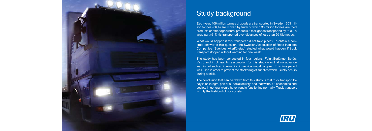

## **Study background**

Each year, 406 million tonnes of goods are transported in Sweden. 353 million tonnes (86%) are moved by truck of which 36 million tonnes are food products or other agricultural products. Of all goods transported by truck, a large part (91%) is transported over distances of less than 50 kilometres.

What would happen if this transport did not take place? To obtain a concrete answer to this question, the Swedish Association of Road Haulage Companies (Sveriges åkeriföretag) studied what would happen if truck transport stopped without warning for one week.

The study has been conducted in four regions, Falun/Borlänge, Borås, Växjö and in Umeå. An assumption for this study was that no advance warning of such an interruption in service would be given. This time period was used in order to prevent the stockpiling of supplies which usually occurs during a crisis.

The conclusion that can be drawn from this study is that truck transport today is an integral part of all social activity, and that without it economies and society in general would have trouble functioning normally. Truck transport is truly the lifeblood of our society.

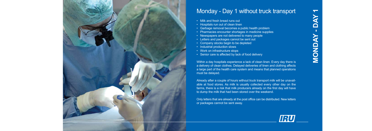

### Monday - Day 1 without truck transport

- Milk and fresh bread runs out
- Hospitals run out of clean linen
- Garbage removal becomes a public health problem
- Pharmacies encounter shortages in medicine supplies
- Newspapers are not delivered to many people
- Letters and packages cannot be sent out
- Company stocks begin to be depleted
- Industrial production slows
- Work on infrastructure stops
- Senior care is affected by lack of food delivery

**Day 1Monday - NON** 

Within a day hospitals experience a lack of clean linen. Every day there is a delivery of clean clothes. Delayed deliveries of linen and clothing affects a large part of the health care system and means that planned operations must be delayed.

Already after a couple of hours without truck transport milk will be unavailable at food stores. As milk is usually collected every other day on the farms, there is a risk that milk producers already on the first day will have to dump the milk that had been stored over the weekend.

Only letters that are already at the post office can be distributed. New letters or packages cannot be sent away.

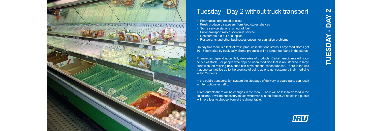

## Tuesday - Day 2 without truck transport

- Pharmacies are forced to close
- Fresh produce disappears from food stores shelves
- Some service stations run out of fuel
- Public transport may discontinue service
- Restaurants run out of supplies
- Restaurants and other businesses encounter sanitation problems

On day two there is a lack of fresh produce in the food stores. Large food stores get 10-15 deliveries by truck daily. Some products will no longer be found in the stores.

At restaurants there will be changes in the menu. There will be less fresh food in the selections. It will be necessary to use whatever is in the freezer. At hotels the guests will have less to choose from at the dinner table.

## IRU

# **Day 2Tuesday -**  TUESD

Pharmacies depend upon daily deliveries of products. Certain medicines will soon be out of stock. For people who depend upon medicine that is not stocked in large quantities the missing deliveries can have serious consequences. There is the risk that one cannot live up to the promise of being able to get customers their medicine within 24 hours.

In the public transportation system the stoppage of delivery of spare parts can result in interruptions in traffic.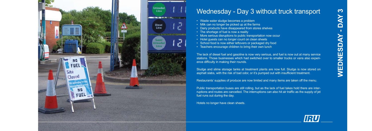

## Wednesday - Day 3 without truck transport

- Waste water sludge becomes a problem
- Milk can no longer be picked up at the farms
- Dairy products have disappeared from stores shelves
- The shortage of fuel is now a reality
- More serious disruptions to public transportation now occur
- Hotel quests can no longer count on clean sheets
- School food is now either leftovers or packaged dry food
- Teachers encourage children to bring their own lunch

The lack of diesel fuel and gasoline is now very serious, and fuel is now out at many service stations. Those businesses which had switched over to smaller trucks or vans also experience difficulty in making their rounds.

Public transportation buses are still rolling, but as the lack of fuel takes hold there are interruptions and routes are cancelled. The interruptions can also hit air traffic as the supply of jet fuel runs out during the day.

Sludge and slime storage tanks at treatment plants are now full. Sludge is now stored on asphalt slabs, with the risk of bad odor, or it's pumped out with insufficient treatment.

Restaurants' supplies of produce are now limited and many items are taken off the menu.

Hotels no longer have clean sheets.

 $\Omega$ **WEDNESDAY -**  VEDNESD

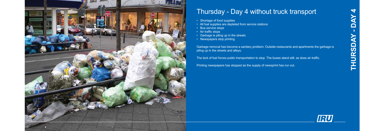

## Thursday - Day 4 without truck transport

- Shortage of food supplies
- All fuel supplies are depleted from service stations
- Bus service stops
- Air traffic stops
- Garbage is piling up in the streets
- Newspapers stop printing

**Day 4Thursday - RSD**  $\overline{\mathsf{D}}$ 



Garbage removal has become a sanitary problem. Outside restaurants and apartments the garbage is piling up in the streets and alleys.

The lack of fuel forces public transportation to stop. The buses stand still, as does air traffic.

Printing newspapers has stopped as the supply of newsprint has run out.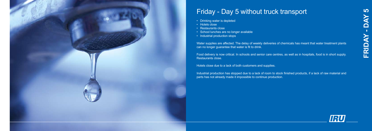

## Friday - Day 5 without truck transport

- Drinking water is depleted
- Hotels close
- Restaurants close
- School lunches are no longer available
- Industrial production stops

Water supplies are affected. The delay of weekly deliveries of chemicals has meant that water treatment plants can no longer guarantee that water is fit to drink.

Food delivery is now critical. In schools and senior care centres, as well as in hospitals, food is in short supply. Restaurants close.

Hotels close due to a lack of both customers and supplies.

Industrial production has stopped due to a lack of room to stock finished products, if a lack of raw material and parts has not already made it impossible to continue production.



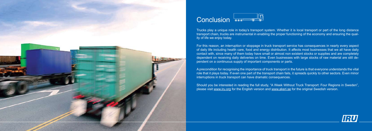

## **Conclusion**

For this reason, an interruption or stoppage in truck transport service has consequences in nearly every aspect of daily life including health care, food and energy distribution. It affects most businesses that we all have daily contact with, since many of them today have small or almost non existent stocks or supplies and are completely dependent on receiving daily deliveries on time. Even businesses with large stocks of raw material are still dependent on a continuous supply of important components or parts.

Trucks play a unique role in today's transport system. Whether it is local transport or part of the long distance transport chain, trucks are instrumental in enabling the proper functioning of the economy and ensuring the quality of life we enjoy today.

Should you be interested in reading the full study, "A Week Without Truck Transport: Four Regions in Sweden", please visit www.iru.org for the English version and www.akeri.se for the original Swedish version.



A precondition for recognising the importance of truck transport in the future is that everyone understands the vital role that it plays today. If even one part of the transport chain fails, it spreads quickly to other sectors. Even minor interruptions in truck transport can have dramatic consequences.